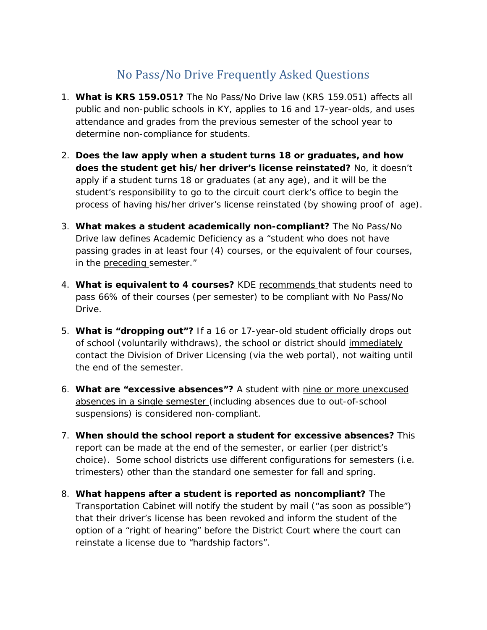## No Pass/No Drive Frequently Asked Questions

- 1. **What is KRS 159.051?** The No Pass/No Drive law (KRS 159.051) affects all public and non-public schools in KY, applies to 16 and 17-year-olds, and uses attendance and grades from the previous semester of the school year to determine non-compliance for students.
- 2. **Does the law apply when a student turns 18 or graduates, and how does the student get his/her driver's license reinstated?** No, it doesn't apply if a student turns 18 or graduates (at any age), and it will be the student's responsibility to go to the circuit court clerk's office to begin the process of having his/her driver's license reinstated (by showing proof of age).
- 3. **What makes a student academically non-compliant?** The No Pass/No Drive law defines Academic Deficiency as a "student who does not have passing grades in at least four (4) courses, or the equivalent of four courses, in the preceding semester."
- 4. **What is equivalent to 4 courses?** KDE recommends that students need to pass 66% of their courses (per semester) to be compliant with No Pass/No Drive.
- 5. **What is "dropping out"?** If a 16 or 17-year-old student officially drops out of school (voluntarily withdraws), the school or district should immediately contact the Division of Driver Licensing (via the web portal), not waiting until the end of the semester.
- 6. **What are "excessive absences"?** A student with nine or more unexcused absences in a single semester (including absences due to out-of-school suspensions) is considered non-compliant.
- 7. **When should the school report a student for excessive absences?** This report can be made at the end of the semester, or earlier (per district's choice). Some school districts use different configurations for semesters (i.e. trimesters) other than the standard one semester for fall and spring.
- 8. **What happens after a student is reported as noncompliant?** The Transportation Cabinet will notify the student by mail ("as soon as possible") that their driver's license has been revoked and inform the student of the option of a "right of hearing" before the District Court where the court can reinstate a license due to "hardship factors".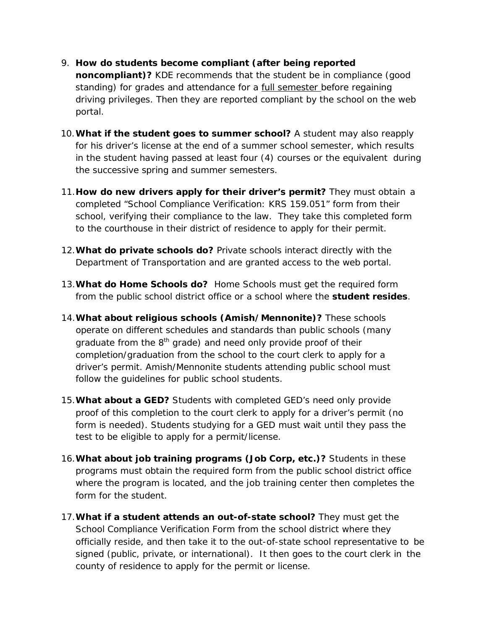- 9. **How do students become compliant (after being reported noncompliant)?** KDE recommends that the student be in compliance (good standing) for grades and attendance for a **full semester before regaining** driving privileges. Then they are reported compliant by the school on the web portal.
- 10.**What if the student goes to summer school?** A student may also reapply for his driver's license at the end of a summer school semester, which results in the student having passed at least four (4) courses or the equivalent during the successive spring and summer semesters.
- 11.**How do new drivers apply for their driver's permit?** They must obtain a completed "School Compliance Verification: KRS 159.051" form from their school, verifying their compliance to the law. They take this completed form to the courthouse in their district of residence to apply for their permit.
- 12.**What do private schools do?** Private schools interact directly with the Department of Transportation and are granted access to the web portal.
- 13.**What do Home Schools do?** Home Schools must get the required form from the public school district office or a school where the **student resides**.
- 14.**What about religious schools (Amish/Mennonite)?** These schools operate on different schedules and standards than public schools (many graduate from the  $8<sup>th</sup>$  grade) and need only provide proof of their completion/graduation from the school to the court clerk to apply for a driver's permit. Amish/Mennonite students attending public school must follow the guidelines for public school students.
- 15.**What about a GED?** Students with completed GED's need only provide proof of this completion to the court clerk to apply for a driver's permit (no form is needed). Students studying for a GED must wait until they pass the test to be eligible to apply for a permit/license.
- 16.**What about job training programs (Job Corp, etc.)?** Students in these programs must obtain the required form from the public school district office where the program is located, and the job training center then completes the form for the student.
- 17.**What if a student attends an out-of-state school?** They must get the School Compliance Verification Form from the school district where they officially reside, and then take it to the out-of-state school representative to be signed (public, private, or international). It then goes to the court clerk in the county of residence to apply for the permit or license.